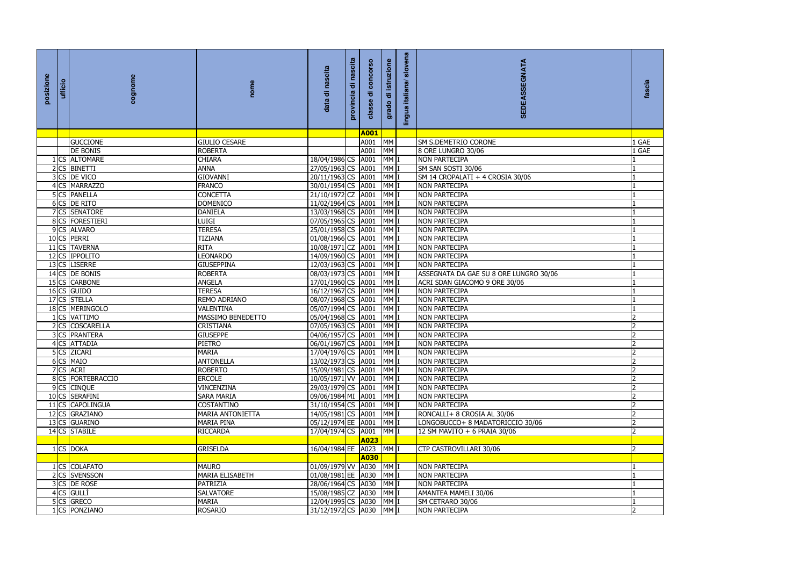| fascia                                                                                                                                                                                                                           |
|----------------------------------------------------------------------------------------------------------------------------------------------------------------------------------------------------------------------------------|
|                                                                                                                                                                                                                                  |
|                                                                                                                                                                                                                                  |
|                                                                                                                                                                                                                                  |
|                                                                                                                                                                                                                                  |
| $\frac{1}{1}$ GAE                                                                                                                                                                                                                |
|                                                                                                                                                                                                                                  |
|                                                                                                                                                                                                                                  |
| $\frac{-1}{1}$ $\frac{1}{1}$ $\frac{1}{1}$ $\frac{1}{1}$ $\frac{1}{1}$ $\frac{1}{1}$ $\frac{1}{1}$ $\frac{1}{1}$ $\frac{1}{1}$ $\frac{1}{1}$ $\frac{1}{1}$ $\frac{1}{1}$ $\frac{1}{1}$ $\frac{1}{1}$ $\frac{1}{2}$ $\frac{2}{2}$ |
|                                                                                                                                                                                                                                  |
|                                                                                                                                                                                                                                  |
|                                                                                                                                                                                                                                  |
|                                                                                                                                                                                                                                  |
|                                                                                                                                                                                                                                  |
|                                                                                                                                                                                                                                  |
|                                                                                                                                                                                                                                  |
|                                                                                                                                                                                                                                  |
|                                                                                                                                                                                                                                  |
|                                                                                                                                                                                                                                  |
|                                                                                                                                                                                                                                  |
|                                                                                                                                                                                                                                  |
|                                                                                                                                                                                                                                  |
|                                                                                                                                                                                                                                  |
|                                                                                                                                                                                                                                  |
|                                                                                                                                                                                                                                  |
|                                                                                                                                                                                                                                  |
|                                                                                                                                                                                                                                  |
| $\overline{2}$                                                                                                                                                                                                                   |
| 2                                                                                                                                                                                                                                |
|                                                                                                                                                                                                                                  |
| $\overline{\phantom{a}}$                                                                                                                                                                                                         |
| $\overline{2}$                                                                                                                                                                                                                   |
| $\overline{2}$                                                                                                                                                                                                                   |
| $\overline{2}$<br>$\overline{2}$                                                                                                                                                                                                 |
| $\overline{2}$                                                                                                                                                                                                                   |
| $\overline{\mathcal{L}}$                                                                                                                                                                                                         |
|                                                                                                                                                                                                                                  |
| っ                                                                                                                                                                                                                                |
|                                                                                                                                                                                                                                  |
| 1                                                                                                                                                                                                                                |
| $\mathbf{1}$                                                                                                                                                                                                                     |
| ī                                                                                                                                                                                                                                |
| $\mathbf{1}$                                                                                                                                                                                                                     |
| $\overline{1}$                                                                                                                                                                                                                   |
| $\overline{2}$                                                                                                                                                                                                                   |
|                                                                                                                                                                                                                                  |

| posizione | ufficio | cognome           | nome                   | scita<br>ㅎ<br>data            | ㅎ<br>provincia | ಕ           | istruzione<br>ㅎ<br>grado | slovena<br>italiana/<br>lingua | SEDEASSEGNATA                          | fascia         |
|-----------|---------|-------------------|------------------------|-------------------------------|----------------|-------------|--------------------------|--------------------------------|----------------------------------------|----------------|
|           |         |                   |                        |                               |                | <b>A001</b> |                          |                                |                                        |                |
|           |         | <b>GUCCIONE</b>   | <b>GIULIO CESARE</b>   |                               |                | A001        | <b>MM</b>                |                                | <b>SM S.DEMETRIO CORONE</b>            | 1 GAE          |
|           |         | <b>DE BONIS</b>   | <b>ROBERTA</b>         |                               |                | A001        | <b>MM</b>                |                                | 8 ORE LUNGRO 30/06                     | 1 GAE          |
|           |         | 1 CS ALTOMARE     | <b>CHIARA</b>          | 18/04/1986 CS                 |                | A001        | MM I                     |                                | <b>NON PARTECIPA</b>                   |                |
|           |         | 2 CS BINETTI      | <b>ANNA</b>            | 27/05/1963 CS                 |                | A001        | MM I                     |                                | SM SAN SOSTI 30/06                     |                |
|           |         | 3 CS DE VICO      | <b>GIOVANNI</b>        | 20/11/1963 CS                 |                | A001        | MM <sub>I</sub>          |                                | SM 14 CROPALATI + 4 CROSIA 30/06       |                |
|           |         | 4 CS MARRAZZO     | <b>FRANCO</b>          | 30/01/1954 CS                 |                | A001        | MM I                     |                                | <b>NON PARTECIPA</b>                   |                |
|           |         | 5 CS PANELLA      | <b>CONCETTA</b>        | 21/10/1972 CZ                 |                | A001        | MM I                     |                                | <b>NON PARTECIPA</b>                   |                |
|           |         | 6 CS DE RITO      | <b>DOMENICO</b>        | 11/02/1964 CS 4001            |                |             | MM I                     |                                | <b>NON PARTECIPA</b>                   |                |
|           |         | 7 CS SENATORE     | <b>DANIELA</b>         | 13/03/1968 CS 4001            |                |             | MM I                     |                                | <b>NON PARTECIPA</b>                   |                |
|           |         | 8 CS FORESTIERI   | <b>LUIGI</b>           | 07/05/1965 CS A001            |                |             | MM I                     |                                | <b>NON PARTECIPA</b>                   |                |
|           |         | 9 CS ALVARO       | <b>TERESA</b>          | 25/01/1958 CS                 |                | A001        | MM I                     |                                | <b>NON PARTECIPA</b>                   |                |
|           |         | 10 CS PERRI       | <b>TIZIANA</b>         | 01/08/1966 CS                 |                | A001        | MM I                     |                                | <b>NON PARTECIPA</b>                   |                |
|           |         | 11 CS TAVERNA     | <b>RITA</b>            | 10/08/1971 CZ                 |                | A001        | MM I                     |                                | <b>NON PARTECIPA</b>                   |                |
|           |         | 12 CS IPPOLITO    | <b>LEONARDO</b>        | 14/09/1960 CS 4001            |                |             | MM I                     |                                | <b>NON PARTECIPA</b>                   |                |
|           |         | 13 CS LISERRE     | <b>GIUSEPPINA</b>      | 12/03/1963 CS 4001            |                |             | MM I                     |                                | <b>NON PARTECIPA</b>                   |                |
|           |         | 14 CS DE BONIS    | <b>ROBERTA</b>         | 08/03/1973 CS 4001            |                |             | MM <sub>I</sub>          |                                | ASSEGNATA DA GAE SU 8 ORE LUNGRO 30/06 |                |
|           |         | 15 CS CARBONE     | <b>ANGELA</b>          | 17/01/1960 CS A001            |                |             | MM <sub>I</sub>          |                                | ACRI SDAN GIACOMO 9 ORE 30/06          |                |
|           |         | 16 CS GUIDO       | <b>TERESA</b>          | 16/12/1967 CS                 |                | A001        | MM I                     |                                | <b>NON PARTECIPA</b>                   |                |
|           |         | 17 CS STELLA      | REMO ADRIANO           | 08/07/1968 CS                 |                | A001        | MM I                     |                                | <b>NON PARTECIPA</b>                   |                |
|           |         | 18 CS MERINGOLO   | <b>VALENTINA</b>       | 05/07/1994 CS 4001            |                |             | MM I                     |                                | <b>NON PARTECIPA</b>                   |                |
|           |         | 1 CS VATTIMO      | MASSIMO BENEDETTO      | 05/04/1968 CS 4001            |                |             | MM I                     |                                | <b>NON PARTECIPA</b>                   |                |
|           |         | 2 CS COSCARELLA   | <b>CRISTIANA</b>       | 07/05/1963 CS A001            |                |             | MM I                     |                                | <b>NON PARTECIPA</b>                   | $\overline{2}$ |
|           |         | 3 CS PRANTERA     | <b>GIUSEPPE</b>        | 04/06/1957 CS                 |                | A001        | MM <sub>1</sub>          |                                | <b>NON PARTECIPA</b>                   |                |
|           |         | 4 CS ATTADIA      | <b>PIETRO</b>          | 06/01/1967 CS                 |                | A001        | MM <sub>I</sub>          |                                | <b>NON PARTECIPA</b>                   |                |
|           |         | 5 CS ZICARI       | IMARIA                 | 17/04/1976 CS   A001   MM   I |                |             |                          |                                | <b>NON PARTECIPA</b>                   | ∠              |
|           |         | 6 CS MAIO         | <b>ANTONELLA</b>       | 13/02/1973 CS 4001            |                |             | MM I                     |                                | <b>NON PARTECIPA</b>                   | $\overline{2}$ |
|           |         | 7 CS ACRI         | <b>ROBERTO</b>         | 15/09/1981 CS 4001            |                |             | MM I                     |                                | <b>NON PARTECIPA</b>                   |                |
|           |         | 8 CS FORTEBRACCIO | <b>ERCOLE</b>          | 10/05/1971 VV A001            |                |             | MM I                     |                                | <b>NON PARTECIPA</b>                   | 2              |
|           |         | 9 CS CINQUE       | <b>VINCENZINA</b>      | 29/03/1979 CS A001            |                |             | MM I                     |                                | <b>NON PARTECIPA</b>                   | $\overline{2}$ |
|           |         | 10 CS SERAFINI    | SARA MARIA             | 09/06/1984 MI A001            |                |             | MM I                     |                                | <b>NON PARTECIPA</b>                   |                |
|           |         | 11 CS CAPOLINGUA  | <b>COSTANTINO</b>      | 31/10/1954 CS A001            |                |             | MM I                     |                                | <b>NON PARTECIPA</b>                   |                |
|           |         | 12 CS GRAZIANO    | MARIA ANTONIETTA       | 14/05/1981 CS A001            |                |             | MM I                     |                                | RONCALLI+ 8 CROSIA AL 30/06            | $\overline{2}$ |
|           |         | 13 CS GUARINO     | <b>MARIA PINA</b>      | 05/12/1974 EE A001            |                |             | MM I                     |                                | LONGOBUCCO+ 8 MADATORICCIO 30/06       |                |
|           |         | 14 CS STABILE     | <b>RICCARDA</b>        | 17/04/1974 CS A001            |                |             | MM I                     |                                | 12 SM MAVITO + 6 PRAIA 30/06           | $\overline{2}$ |
|           |         |                   |                        |                               |                | <b>A023</b> |                          |                                |                                        |                |
|           |         | 1 CS DOKA         | <b>GRISELDA</b>        | 16/04/1984 EE A023            |                |             | MM I                     |                                | <b>CTP CASTROVILLARI 30/06</b>         | $\overline{2}$ |
|           |         |                   |                        |                               |                | A030        |                          |                                |                                        |                |
|           |         | 1 CS COLAFATO     | <b>MAURO</b>           | 01/09/1979 VV A030            |                |             | MM I                     |                                | <b>NON PARTECIPA</b>                   |                |
|           |         | 2 CS SVENSSON     | <b>MARIA ELISABETH</b> | 01/08/1981 EE A030            |                |             | MM I                     |                                | <b>NON PARTECIPA</b>                   |                |
|           |         | 3 CS DE ROSE      | PATRIZIA               | 28/06/1964 CS 4030            |                |             | MM I                     |                                | <b>NON PARTECIPA</b>                   |                |
|           |         | $4$ CS GULLI      | <b>SALVATORE</b>       | 15/08/1985 CZ A030 MM I       |                |             |                          |                                | AMANTEA MAMELI 30/06                   |                |
|           |         | 5 CS GRECO        | <b>MARIA</b>           | 12/04/1995 CS A030 MM I       |                |             |                          |                                | SM CETRARO 30/06                       |                |
|           |         | 1 CS PONZIANO     | <b>ROSARIO</b>         | 31/12/1972 CS 4030            |                |             | MM I                     |                                | <b>NON PARTECIPA</b>                   | $\overline{2}$ |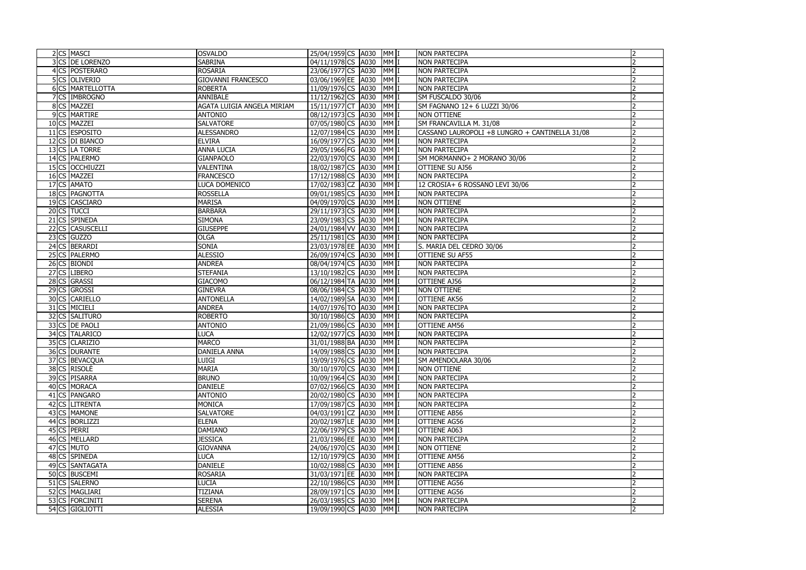| 2 CS MASCI       | <b>OSVALDO</b>             | 25/04/1959 CS 4030<br>MM I               | <b>NON PARTECIPA</b>                           |  |
|------------------|----------------------------|------------------------------------------|------------------------------------------------|--|
| 3 CS DE LORENZO  | <b>SABRINA</b>             | 04/11/1978 CS A030<br>MM I               | <b>NON PARTECIPA</b>                           |  |
| 4 CS POSTERARO   | <b>ROSARIA</b>             | 23/06/1977 CS<br>MM <sub>I</sub><br>A030 | <b>NON PARTECIPA</b>                           |  |
| 5 CS OLIVERIO    | <b>GIOVANNI FRANCESCO</b>  | 03/06/1969 EE A030<br>MM <sub>I</sub>    | <b>NON PARTECIPA</b>                           |  |
| 6 CS MARTELLOTTA | <b>ROBERTA</b>             | 11/09/1976 CS A030<br>$MM$               | <b>NON PARTECIPA</b>                           |  |
| 7 CS IMBROGNO    | <b>ANNIBALE</b>            | 11/12/1962 CS<br>MM<br>A030              | SM FUSCALDO 30/06                              |  |
| 8 CS MAZZEI      | AGATA LUIGIA ANGELA MIRIAM | 15/11/1977 CT<br>MM <sub>I</sub><br>A030 | SM FAGNANO 12+ 6 LUZZI 30/06                   |  |
| 9 CS MARTIRE     | <b>ANTONIO</b>             | 08/12/1973 CS<br>$MM$  <br>A030          | <b>NON OTTIENE</b>                             |  |
| 10 CS MAZZEI     | <b>SALVATORE</b>           | 07/05/1980 CS 4030<br>MM I               | SM FRANCAVILLA M. 31/08                        |  |
| 11 CS ESPOSITO   | <b>ALESSANDRO</b>          | 12/07/1984 CS A030<br>$MM$               | CASSANO LAUROPOLI +8 LUNGRO + CANTINELLA 31/08 |  |
| 12 CS DI BIANCO  | <b>ELVIRA</b>              | $MM$  <br>16/09/1977 CS A030             | <b>NON PARTECIPA</b>                           |  |
| 13 CS LA TORRE   | <b>ANNA LUCIA</b>          | $MM$  <br>29/05/1966 FG<br>A030          | <b>NON PARTECIPA</b>                           |  |
| 14 CS PALERMO    | <b>GIANPAOLO</b>           | 22/03/1970 CS<br>$MM$  <br>A030          | SM MORMANNO+ 2 MORANO 30/06                    |  |
| 15 CS OCCHIUZZI  |                            | $MM$ $ $                                 |                                                |  |
|                  | <b>VALENTINA</b>           | 18/02/1987 CS<br>A030                    | <b>OTTIENE SU AJ56</b>                         |  |
| 16 CS MAZZEI     | <b>FRANCESCO</b>           | 17/12/1988 CS<br>A030<br>$MM$            | <b>NON PARTECIPA</b>                           |  |
| 17 CS AMATO      | LUCA DOMENICO              | 17/02/1983 CZ<br>A030<br>$MM$            | 12 CROSIA+ 6 ROSSANO LEVI 30/06                |  |
| 18 CS PAGNOTTA   | <b>ROSSELLA</b>            | $MM$  <br>09/01/1985 CS<br>A030          | <b>NON PARTECIPA</b>                           |  |
| 19 CS CASCIARO   | <b>MARISA</b>              | 04/09/1970 CS<br>$MM$  <br>A030          | <b>NON OTTIENE</b>                             |  |
| 20 CS TUCCI      | <b>BARBARA</b>             | 29/11/1973 CS<br>MM<br>A030              | <b>NON PARTECIPA</b>                           |  |
| 21 CS SPINEDA    | <b>SIMONA</b>              | $MM$  <br>23/09/1983 CS<br>A030          | <b>NON PARTECIPA</b>                           |  |
| 22 CS CASUSCELLI | <b>GIUSEPPE</b>            | 24/01/1984 VV A030<br>MM <sub>I</sub>    | <b>NON PARTECIPA</b>                           |  |
| $23$ CS GUZZO    | <b>OLGA</b>                | 25/11/1981 CS A030<br>MM <sub>I</sub>    | <b>NON PARTECIPA</b>                           |  |
| 24 CS BERARDI    | SONIA                      | 23/03/1978 EE A030<br>MM <sub>I</sub>    | S. MARIA DEL CEDRO 30/06                       |  |
| 25 CS PALERMO    | <b>ALESSIO</b>             | 26/09/1974 CS A030<br>MM <sub>I</sub>    | <b>OTTIENE SU AF55</b>                         |  |
| 26 CS BIONDI     | <b>ANDREA</b>              | 08/04/1974 CS<br>$MM$  <br>A030          | <b>NON PARTECIPA</b>                           |  |
| 27 CS LIBERO     | <b>STEFANIA</b>            | $MM$  <br>13/10/1982 CS<br>A030          | <b>NON PARTECIPA</b>                           |  |
| 28 CS GRASSI     | <b>GIACOMO</b>             | 06/12/1984 TA<br>A030<br>MM <sub>I</sub> | <b>OTTIENE AJ56</b>                            |  |
| 29 CS GROSSI     | <b>GINEVRA</b>             | 08/06/1984 CS<br>$MM$  <br>A030          | <b>NON OTTIENE</b>                             |  |
| 30 CS CARIELLO   | <b>ANTONELLA</b>           | 14/02/1989 SA<br>A030<br>MM              | <b>OTTIENE AK56</b>                            |  |
| 31 CS MICIELI    | <b>ANDREA</b>              | 14/07/1976 TO A030<br>MM                 | <b>NON PARTECIPA</b>                           |  |
| 32 CS SALITURO   | <b>ROBERTO</b>             | MM<br>30/10/1986 CS<br>A030              | <b>NON PARTECIPA</b>                           |  |
| 33 CS DE PAOLI   | <b>ANTONIO</b>             | MM <sub>I</sub><br>21/09/1986 CS<br>A030 | <b>OTTIENE AM56</b>                            |  |
| 34 CS TALARICO   | <b>LUCA</b>                | 12/02/1977 CS A030<br>MM <sub>I</sub>    | <b>NON PARTECIPA</b>                           |  |
| 35 CS CLARIZIO   | <b>MARCO</b>               | 31/01/1988 BA A030<br>MM I               | <b>NON PARTECIPA</b>                           |  |
| 36 CS DURANTE    | <b>DANIELA ANNA</b>        | 14/09/1988 CS A030 MM I                  | <b>NON PARTECIPA</b>                           |  |
| 37 CS BEVACQUA   | <b>LUIGI</b>               | 19/09/1976 CS 4030<br>MM I               | SM AMENDOLARA 30/06                            |  |
| 38 CS RISOLE     | <b>MARIA</b>               | 30/10/1970 CS 4030<br>MM I               | <b>NON OTTIENE</b>                             |  |
| 39 CS PISARRA    | <b>BRUNO</b>               | 10/09/1964 CS A030<br>MM I               | <b>NON PARTECIPA</b>                           |  |
| 40 CS MORACA     | <b>DANIELE</b>             | 07/02/1966 CS A030<br>MM I               | <b>NON PARTECIPA</b>                           |  |
| 41 CS PANGARO    | <b>ANTONIO</b>             | 20/02/1980 CS 4030<br>MM I               | <b>NON PARTECIPA</b>                           |  |
| 42 CS LITRENTA   | MONICA                     | 17/09/1987 CS A030<br>MM I               | <b>NON PARTECIPA</b>                           |  |
| 43 CS MAMONE     | <b>SALVATORE</b>           | 04/03/1991 CZ A030<br>MM <sub>I</sub>    | <b>OTTIENE AB56</b>                            |  |
| 44 CS BORLIZZI   | <b>ELENA</b>               | 20/02/1987 LE A030<br>MM I               | <b>OTTIENE AG56</b>                            |  |
| 45 CS PERRI      | <b>DAMIANO</b>             | 22/06/1979 CS A030<br>MM I               | OTTIENE A063                                   |  |
| 46 CS MELLARD    | <b>JESSICA</b>             | 21/03/1986 EE A030<br>MM I               | <b>NON PARTECIPA</b>                           |  |
| 47 CS MUTO       | <b>GIOVANNA</b>            | 24/06/1970 CS A030<br>MM I               | <b>NON OTTIENE</b>                             |  |
| 48 CS SPINEDA    | <b>LUCA</b>                | 12/10/1979 CS 4030<br>MM I               | <b>OTTIENE AM56</b>                            |  |
| 49 CS SANTAGATA  | <b>DANIELE</b>             | 10/02/1988 CS A030<br>MM <sub>I</sub>    | <b>OTTIENE AB56</b>                            |  |
| 50 CS BUSCEMI    | <b>ROSARIA</b>             | 31/03/1971 EE A030<br>MM I               | <b>NON PARTECIPA</b>                           |  |
| 51 CS SALERNO    | <b>LUCIA</b>               | 22/10/1986 CS A030<br>MM I               | <b>OTTIENE AG56</b>                            |  |
| 52 CS MAGLIARI   | <b>TIZIANA</b>             | 28/09/1971 CS A030<br>MM I               | <b>OTTIENE AG56</b>                            |  |
| 53 CS FORCINITI  | <b>SERENA</b>              | 26/03/1985 CS 4030<br>MM I               | <b>NON PARTECIPA</b>                           |  |
|                  |                            |                                          |                                                |  |
| 54 CS GIGLIOTTI  | <b>ALESSIA</b>             | 19/09/1990 CS A030<br>MM I               | <b>NON PARTECIPA</b>                           |  |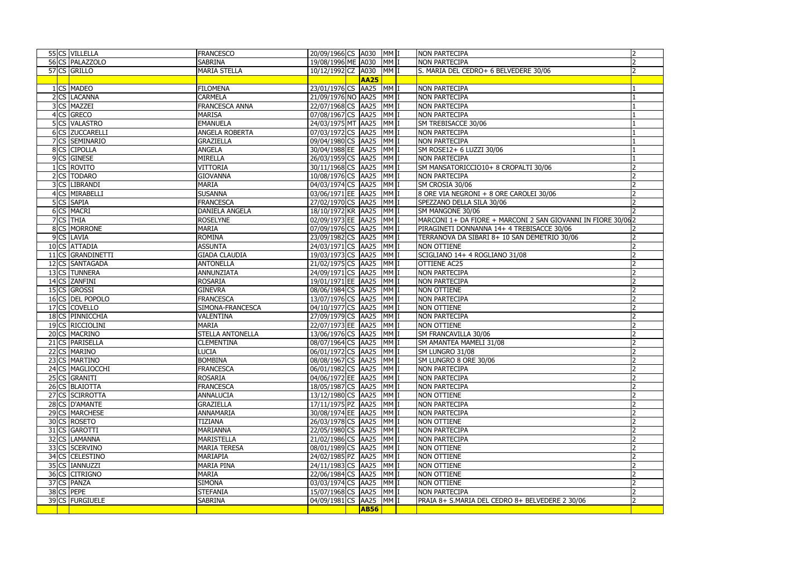|            | 55 CS VILLELLA    | <b>FRANCESCO</b>        | 20/09/1966 CS A030 MM I |             |                 | NON PARTECIPA                                                 |  |
|------------|-------------------|-------------------------|-------------------------|-------------|-----------------|---------------------------------------------------------------|--|
|            | 56 CS PALAZZOLO   | <b>SABRINA</b>          | 19/08/1996 ME A030      |             | MM I            | <b>NON PARTECIPA</b>                                          |  |
|            | 57 CS GRILLO      | <b>MARIA STELLA</b>     | 10/12/1992 CZ 4030      |             | MM I            | S. MARIA DEL CEDRO+ 6 BELVEDERE 30/06                         |  |
|            |                   |                         |                         | <b>AA25</b> |                 |                                                               |  |
|            | 1 CS MADEO        | <b>FILOMENA</b>         | 23/01/1976 CS AA25      |             | MM I            | <b>NON PARTECIPA</b>                                          |  |
|            | 2 CS LACANNA      | <b>CARMELA</b>          | 21/09/1976 NO AA25      |             | MM <sub>I</sub> | <b>NON PARTECIPA</b>                                          |  |
|            | 3 CS MAZZEI       | <b>FRANCESCA ANNA</b>   | 22/07/1968 CS AA25      |             | MM I            | <b>NON PARTECIPA</b>                                          |  |
|            | 4 CS GRECO        | <b>MARISA</b>           | 07/08/1967 CS AA25      |             | MM I            | <b>NON PARTECIPA</b>                                          |  |
|            | 5 CS VALASTRO     | <b>EMANUELA</b>         | 24/03/1975 MT AA25      |             | MM I            | SM TREBISACCE 30/06                                           |  |
|            | 6 CS ZUCCARELLI   | <b>ANGELA ROBERTA</b>   | 07/03/1972 CS AA25      |             | MM I            | <b>NON PARTECIPA</b>                                          |  |
|            | 7 CS SEMINARIO    | <b>GRAZIELLA</b>        | 09/04/1980 CS AA25      |             | MM I            | <b>NON PARTECIPA</b>                                          |  |
|            | 8 CS CIPOLLA      | <b>ANGELA</b>           | 30/04/1988 EE AA25      |             | MM <sub>I</sub> | SM ROSE12+ 6 LUZZI 30/06                                      |  |
|            | 9 CS GINESE       | <b>MIRELLA</b>          | 26/03/1959 CS AA25      |             | MM I            | <b>NON PARTECIPA</b>                                          |  |
|            | 1 CS ROVITO       | <b>VITTORIA</b>         | 30/11/1968 CS AA25      |             | MM I            | SM MANSATORICCIO10+ 8 CROPALTI 30/06                          |  |
|            | 2 CS TODARO       | <b>GIOVANNA</b>         | 10/08/1976 CS AA25      |             | MM I            | <b>NON PARTECIPA</b>                                          |  |
|            | 3 CS LIBRANDI     | <b>MARIA</b>            | 04/03/1974 CS AA25      |             | MM I            | SM CROSIA 30/06                                               |  |
|            | 4 CS MIRABELLI    | <b>SUSANNA</b>          | 03/06/1971 EE AA25      |             | MM I            | 8 ORE VIA NEGRONI + 8 ORE CAROLEI 30/06                       |  |
|            | 5 CS SAPIA        | <b>FRANCESCA</b>        | 27/02/1970 CS AA25      |             | MM <sub>I</sub> | SPEZZANO DELLA SILA 30/06                                     |  |
|            | 6 CS MACRI        | <b>DANIELA ANGELA</b>   | 18/10/1972 KR AA25      |             | MM <sub>I</sub> | SM MANGONE 30/06                                              |  |
|            | 7 CS THIA         | <b>ROSELYNE</b>         | 02/09/1973 EE AA25      |             | MM I            | MARCONI 1+ DA FIORE + MARCONI 2 SAN GIOVANNI IN FIORE 30/06 2 |  |
|            | 8 CS MORRONE      | <b>MARIA</b>            | 07/09/1976 CS AA25      |             | MM I            | PIRAGINETI DONNANNA 14+ 4 TREBISACCE 30/06                    |  |
|            | 9 CS LAVIA        | <b>ROMINA</b>           | 23/09/1982 CS AA25      |             | MM <sub>I</sub> | TERRANOVA DA SIBARI 8+ 10 SAN DEMETRIO 30/06                  |  |
|            | 10 CS ATTADIA     | <b>ASSUNTA</b>          | 24/03/1971 CS AA25      |             | MM I            | <b>NON OTTIENE</b>                                            |  |
|            | 11 CS GRANDINETTI | <b>GIADA CLAUDIA</b>    | 19/03/1973 CS AA25      |             | MM I            | SCIGLIANO 14+ 4 ROGLIANO 31/08                                |  |
|            | 12 CS SANTAGADA   | <b>ANTONELLA</b>        | 21/02/1975 CS AA25      |             | MM <sub>I</sub> | OTTIENE AC25                                                  |  |
|            | 13 CS TUNNERA     | <b>ANNUNZIATA</b>       | 24/09/1971 CS   AA25    |             | MM I            | <b>NON PARTECIPA</b>                                          |  |
|            | 14 CS ZANFINI     | <b>ROSARIA</b>          | 19/01/1971 EE AA25      |             | MM I            | <b>NON PARTECIPA</b>                                          |  |
|            | 15 CS GROSSI      | <b>GINEVRA</b>          | 08/06/1984 CS AA25      |             | MM <sub>I</sub> | <b>NON OTTIENE</b>                                            |  |
|            | 16 CS DEL POPOLO  | <b>FRANCESCA</b>        | 13/07/1976 CS AA25      |             | MM <sub>I</sub> | <b>NON PARTECIPA</b>                                          |  |
|            | 17 CS COVELLO     | SIMONA-FRANCESCA        | 04/10/1977 CS AA25      |             | MM <sub>I</sub> | <b>NON OTTIENE</b>                                            |  |
|            | 18 CS PINNICCHIA  | VALENTINA               | 27/09/1979 CS AA25      |             | MM <sub>I</sub> | <b>NON PARTECIPA</b>                                          |  |
|            | 19 CS RICCIOLINI  | <b>MARIA</b>            | 22/07/1973 EE AA25      |             | MM <sub>I</sub> | <b>NON OTTIENE</b>                                            |  |
|            | 20 CS MACRINO     | <b>STELLA ANTONELLA</b> | 13/06/1976 CS AA25      |             | MM I            | SM FRANCAVILLA 30/06                                          |  |
|            | 21 CS PARISELLA   | <b>CLEMENTINA</b>       | 08/07/1964 CS AA25 MM I |             |                 | SM AMANTEA MAMELI 31/08                                       |  |
|            | 22 CS MARINO      | <b>LUCIA</b>            | 06/01/1972 CS AA25 MM I |             |                 | SM LUNGRO 31/08                                               |  |
|            | 23 CS MARTINO     | <b>BOMBINA</b>          | 08/08/1967 CS AA25 MM I |             |                 | SM LUNGRO 8 ORE 30/06                                         |  |
|            | 24 CS MAGLIOCCHI  | <b>FRANCESCA</b>        | 06/01/1982 CS AA25 MM I |             |                 | <b>NON PARTECIPA</b>                                          |  |
|            | 25 CS GRANITI     | <b>ROSARIA</b>          | 04/06/1972 EE AA25      |             | MM I            | <b>NON PARTECIPA</b>                                          |  |
|            | 26 CS BLAIOTTA    | <b>FRANCESCA</b>        | 18/05/1987 CS AA25      |             | MM I            | <b>NON PARTECIPA</b>                                          |  |
|            | 27 CS SCIRROTTA   | <b>ANNALUCIA</b>        | 13/12/1980 CS AA25      |             | MM I            | <b>NON OTTIENE</b>                                            |  |
|            | 28 CS D'AMANTE    | <b>GRAZIELLA</b>        | 17/11/1975 PZ AA25 MM I |             |                 | <b>NON PARTECIPA</b>                                          |  |
|            | 29 CS MARCHESE    | ANNAMARIA               | 30/08/1974 EE AA25 MM I |             |                 | <b>NON PARTECIPA</b>                                          |  |
|            | 30 CS ROSETO      | <b>TIZIANA</b>          | 26/03/1978 CS AA25 MM I |             |                 | <b>NON OTTIENE</b>                                            |  |
|            | 31 CS GAROTTI     | <b>MARIANNA</b>         | 22/05/1980 CS AA25      |             | MM I            | <b>NON PARTECIPA</b>                                          |  |
|            | 32 CS LAMANNA     | <b>MARISTELLA</b>       | 21/02/1986 CS AA25      |             | MM I            | <b>NON PARTECIPA</b>                                          |  |
|            | 33 CS SCERVINO    | <b>MARIA TERESA</b>     | 08/01/1989 CS AA25      |             | MM I            | <b>NON OTTIENE</b>                                            |  |
|            | 34 CS CELESTINO   | MARIAPIA                | 24/02/1985 PZ AA25      |             | MM I            | <b>NON OTTIENE</b>                                            |  |
|            | 35 CS IANNUZZI    | <b>MARIA PINA</b>       | 24/11/1983 CS AA25      |             | MM I            | <b>NON OTTIENE</b>                                            |  |
|            | 36 CS CITRIGNO    | <b>MARIA</b>            | 22/06/1984 CS AA25      |             | MM I            | <b>NON OTTIENE</b>                                            |  |
|            | 37 CS PANZA       | <b>SIMONA</b>           | 03/03/1974 CS AA25      |             | MM I            | <b>NON OTTIENE</b>                                            |  |
| 38 CS PEPE |                   | <b>STEFANIA</b>         | 15/07/1968 CS   AA25    |             | MM I            | <b>NON PARTECIPA</b>                                          |  |
|            | 39 CS FURGIUELE   | <b>SABRINA</b>          | 04/09/1981 CS AA25      |             | MM I            | PRAIA 8+ S.MARIA DEL CEDRO 8+ BELVEDERE 2 30/06               |  |
|            |                   |                         |                         | <b>AB56</b> |                 |                                                               |  |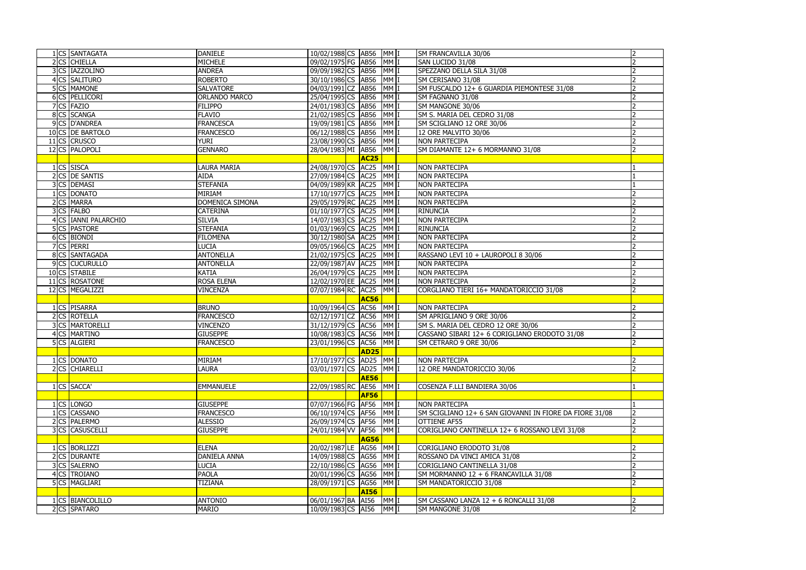| 2 CS CHIELLA<br><b>MICHELE</b><br>MM I<br>09/02/1975 FG AB56<br>SAN LUCIDO 31/08<br>3 CS IAZZOLINO<br>09/09/1982 CS AB56<br>MM <sub>I</sub><br><b>ANDREA</b><br>SPEZZANO DELLA SILA 31/08<br>4 CS SALITURO<br>MM <sub>1</sub><br><b>ROBERTO</b><br>30/10/1986 CS AB56<br>SM CERISANO 31/08<br>MM <sub>I</sub><br>5 CS MAMONE<br>04/03/1991 CZ AB56<br><b>SALVATORE</b><br>SM FUSCALDO 12+ 6 GUARDIA PIEMONTESE 31/08<br>6 CS PELLICORI<br>25/04/1995 CS AB56<br>MM <sub>1</sub><br><b>ORLANDO MARCO</b><br>SM FAGNANO 31/08<br>7 CS FAZIO<br>$MM$  <br><b>FILIPPO</b><br>24/01/1983 CS<br><b>AB56</b><br>SM MANGONE 30/06<br>8 CS SCANGA<br>$MM$  <br><b>FLAVIO</b><br>21/02/1985 CS<br><b>AB56</b><br>SM S. MARIA DEL CEDRO 31/08<br>9 CS D'ANDREA<br><b>FRANCESCA</b><br>19/09/1981 CS AB56<br>MM <sub>I</sub><br>SM SCIGLIANO 12 ORE 30/06<br>MM <sub>I</sub><br>10 CS DE BARTOLO<br><b>FRANCESCO</b><br>06/12/1988 CS AB56<br>12 ORE MALVITO 30/06<br>11 CS CRUSCO<br>MM <sub>I</sub><br><b>YURI</b><br>23/08/1990 CS AB56<br><b>NON PARTECIPA</b><br>12 CS PALOPOLI<br>28/04/1983 MI AB56<br>MM I<br><b>GENNARO</b><br>SM DIAMANTE 12+ 6 MORMANNO 31/08<br><b>AC25</b><br>MM <sub>I</sub><br>1 CS SISCA<br>24/08/1970 CS AC25<br><b>LAURA MARIA</b><br><b>NON PARTECIPA</b><br>2 CS DE SANTIS<br>27/09/1984 CS AC25<br>MM <sub>I</sub><br><b>AIDA</b><br><b>NON PARTECIPA</b><br>3 CS DEMASI<br><b>STEFANIA</b><br>04/09/1989 KR AC25<br>MM <sub>I</sub><br><b>NON PARTECIPA</b><br>MM<br>1 CS DONATO<br><b>MIRIAM</b><br>17/10/1977 CS AC25<br><b>NON PARTECIPA</b><br>2 CS MARRA<br>MM <sup>I</sup><br>DOMENICA SIMONA<br>29/05/1979 RC AC25<br><b>NON PARTECIPA</b><br>3 CS FALBO<br>$MM$  <br><b>CATERINA</b><br>01/10/1977 CS<br>AC <sub>25</sub><br><b>RINUNCIA</b><br>MM <sub>1</sub><br>4 CS IANNI PALARCHIO<br><b>SILVIA</b><br>14/07/1983 CS AC25<br><b>NON PARTECIPA</b><br><b>5CS</b> PASTORE<br>MM <sub>I</sub><br><b>STEFANIA</b><br>01/03/1969 CS AC25<br><b>RINUNCIA</b><br>MM <sub>I</sub><br>6 CS BIONDI<br><b>FILOMENA</b><br>30/12/1980 SA AC25<br><b>NON PARTECIPA</b><br>7 CS PERRI<br>MM <sub>I</sub><br><b>LUCIA</b><br>09/05/1966 CS AC25<br><b>NON PARTECIPA</b><br>MM <sub>1</sub><br>8 CS SANTAGADA<br>21/02/1975 CS AC25<br><b>ANTONELLA</b><br>RASSANO LEVI 10 + LAUROPOLI 8 30/06<br>9 CS CUCURULLO<br>MM <sup>I</sup><br><b>ANTONELLA</b><br>22/09/1987 AV AC25<br><b>NON PARTECIPA</b><br>MM <sub>1</sub><br>10 CS STABILE<br><b>KATIA</b><br>26/04/1979 CS AC25<br><b>NON PARTECIPA</b><br>MM <sub>1</sub><br>11 CS ROSATONE<br><b>ROSA ELENA</b><br>12/02/1970 EE AC25<br><b>NON PARTECIPA</b><br>12 CS MEGALIZZI<br>07/07/1984 RC AC25<br>MM <sub>I</sub><br>CORGLIANO TIERI 16+ MANDATORICCIO 31/08<br><b>VINCENZA</b><br><b>AC56</b><br>1 CS PISARRA<br><b>BRUNO</b><br>10/09/1964 CS AC56<br>MM <sub>1</sub><br><b>NON PARTECIPA</b><br>2 CS ROTELLA<br>02/12/1971 CZ<br>$MM$  <br><b>FRANCESCO</b><br>AC56<br>SM APRIGLIANO 9 ORE 30/06<br>3 CS MARTORELLI<br>31/12/1979 CS AC56<br>MM <sub>I</sub><br><b>VINCENZO</b><br>SM S. MARIA DEL CEDRO 12 ORE 30/06<br>4 CS MARTINO<br>MM <sub>I</sub><br>10/08/1983 CS AC56<br><b>GIUSEPPE</b><br>CASSANO SIBARI 12+ 6 CORIGLIANO ERODOTO 31/08<br>5 CS ALGIERI<br>23/01/1996 CS AC56<br>MM I<br><b>FRANCESCO</b><br>SM CETRARO 9 ORE 30/06<br>$\overline{AD25}$<br>1 CS DONATO<br><b>MIRIAM</b><br>17/10/1977 CS AD25 MM I<br><b>NON PARTECIPA</b><br>2 CS CHIARELLI<br>03/01/1971 CS AD25<br>MM I<br><b>LAURA</b><br>12 ORE MANDATORICCIO 30/06<br><b>AE56</b><br>1 CS SACCA'<br>22/09/1985 RC AE56<br>MM I<br><b>EMMANUELE</b><br>COSENZA F.LLI BANDIERA 30/06<br><b>AF56</b><br>1 CS LONGO<br>07/07/1966 FG AF56<br>MM I<br><b>GIUSEPPE</b><br><b>NON PARTECIPA</b><br>06/10/1974 CS AF56<br>MM <sub>I</sub><br>1 CS CASSANO<br><b>FRANCESCO</b><br>SM SCIGLIANO 12+ 6 SAN GIOVANNI IN FIORE DA FIORE 31/08<br>2 CS PALERMO<br><b>ALESSIO</b><br>26/09/1974 CS AF56<br>MMI<br><b>OTTIENE AF55</b><br>3 CS CASUSCELLI<br>MM I<br>24/01/1984 VV AF56<br><b>GIUSEPPE</b><br>CORIGLIANO CANTINELLA 12+ 6 ROSSANO LEVI 31/08<br><b>AG56</b><br>20/02/1987LE AG56<br>MM <sub>I</sub><br>1 CS BORLIZZI<br><b>ELENA</b><br>CORIGLIANO ERODOTO 31/08<br>2 CS DURANTE<br><b>DANIELA ANNA</b><br>14/09/1988 CS AG56<br>MM <sub>I</sub><br>ROSSANO DA VINCI AMICA 31/08<br>MM <sub>I</sub><br>3 CS SALERNO<br>22/10/1986 CS AG56<br><b>LUCIA</b><br>CORIGLIANO CANTINELLA 31/08<br>4 CS TROIANO<br><b>PAOLA</b><br>20/01/1996 CS AG56<br>MM <sub>I</sub><br>SM MORMANNO 12 + 6 FRANCAVILLA 31/08<br><b>5 CS MAGLIARI</b><br>28/09/1971 CS AG56<br>MM I<br><b>TIZIANA</b><br>SM MANDATORICCIO 31/08<br><b>AI56</b><br>CS BIANCOLILLO<br>06/01/1967 BA AI56<br>MM I<br><b>ANTONIO</b><br>SM CASSANO LANZA 12 + 6 RONCALLI 31/08<br>2 CS SPATARO<br><b>MARIO</b><br>10/09/1983 CS AI56<br>MM I<br>$\overline{2}$<br>SM MANGONE 31/08 | <b>CS SANTAGATA</b> | <b>DANIELE</b> | 10/02/1988 CS AB56 |  | MM I | SM FRANCAVILLA 30/06 |  |
|------------------------------------------------------------------------------------------------------------------------------------------------------------------------------------------------------------------------------------------------------------------------------------------------------------------------------------------------------------------------------------------------------------------------------------------------------------------------------------------------------------------------------------------------------------------------------------------------------------------------------------------------------------------------------------------------------------------------------------------------------------------------------------------------------------------------------------------------------------------------------------------------------------------------------------------------------------------------------------------------------------------------------------------------------------------------------------------------------------------------------------------------------------------------------------------------------------------------------------------------------------------------------------------------------------------------------------------------------------------------------------------------------------------------------------------------------------------------------------------------------------------------------------------------------------------------------------------------------------------------------------------------------------------------------------------------------------------------------------------------------------------------------------------------------------------------------------------------------------------------------------------------------------------------------------------------------------------------------------------------------------------------------------------------------------------------------------------------------------------------------------------------------------------------------------------------------------------------------------------------------------------------------------------------------------------------------------------------------------------------------------------------------------------------------------------------------------------------------------------------------------------------------------------------------------------------------------------------------------------------------------------------------------------------------------------------------------------------------------------------------------------------------------------------------------------------------------------------------------------------------------------------------------------------------------------------------------------------------------------------------------------------------------------------------------------------------------------------------------------------------------------------------------------------------------------------------------------------------------------------------------------------------------------------------------------------------------------------------------------------------------------------------------------------------------------------------------------------------------------------------------------------------------------------------------------------------------------------------------------------------------------------------------------------------------------------------------------------------------------------------------------------------------------------------------------------------------------------------------------------------------------------------------------------------------------------------------------------------------------------------------------------------------------------------------------------------------------------------------------------------------------------------------------------------------------------------------------------------------------------------------------------------------------------------------------------------------------------------------------------------------------------------------------------------------------------------------------------------------------------------------------------------------------------------------------------------------------------------------------------------------------------------------------------------------------------------------------------------------------------------------------------------------------------------------------------------------------------------------------------------------------------------------------|---------------------|----------------|--------------------|--|------|----------------------|--|
|                                                                                                                                                                                                                                                                                                                                                                                                                                                                                                                                                                                                                                                                                                                                                                                                                                                                                                                                                                                                                                                                                                                                                                                                                                                                                                                                                                                                                                                                                                                                                                                                                                                                                                                                                                                                                                                                                                                                                                                                                                                                                                                                                                                                                                                                                                                                                                                                                                                                                                                                                                                                                                                                                                                                                                                                                                                                                                                                                                                                                                                                                                                                                                                                                                                                                                                                                                                                                                                                                                                                                                                                                                                                                                                                                                                                                                                                                                                                                                                                                                                                                                                                                                                                                                                                                                                                                                                                                                                                                                                                                                                                                                                                                                                                                                                                                                                                                                                  |                     |                |                    |  |      |                      |  |
|                                                                                                                                                                                                                                                                                                                                                                                                                                                                                                                                                                                                                                                                                                                                                                                                                                                                                                                                                                                                                                                                                                                                                                                                                                                                                                                                                                                                                                                                                                                                                                                                                                                                                                                                                                                                                                                                                                                                                                                                                                                                                                                                                                                                                                                                                                                                                                                                                                                                                                                                                                                                                                                                                                                                                                                                                                                                                                                                                                                                                                                                                                                                                                                                                                                                                                                                                                                                                                                                                                                                                                                                                                                                                                                                                                                                                                                                                                                                                                                                                                                                                                                                                                                                                                                                                                                                                                                                                                                                                                                                                                                                                                                                                                                                                                                                                                                                                                                  |                     |                |                    |  |      |                      |  |
|                                                                                                                                                                                                                                                                                                                                                                                                                                                                                                                                                                                                                                                                                                                                                                                                                                                                                                                                                                                                                                                                                                                                                                                                                                                                                                                                                                                                                                                                                                                                                                                                                                                                                                                                                                                                                                                                                                                                                                                                                                                                                                                                                                                                                                                                                                                                                                                                                                                                                                                                                                                                                                                                                                                                                                                                                                                                                                                                                                                                                                                                                                                                                                                                                                                                                                                                                                                                                                                                                                                                                                                                                                                                                                                                                                                                                                                                                                                                                                                                                                                                                                                                                                                                                                                                                                                                                                                                                                                                                                                                                                                                                                                                                                                                                                                                                                                                                                                  |                     |                |                    |  |      |                      |  |
|                                                                                                                                                                                                                                                                                                                                                                                                                                                                                                                                                                                                                                                                                                                                                                                                                                                                                                                                                                                                                                                                                                                                                                                                                                                                                                                                                                                                                                                                                                                                                                                                                                                                                                                                                                                                                                                                                                                                                                                                                                                                                                                                                                                                                                                                                                                                                                                                                                                                                                                                                                                                                                                                                                                                                                                                                                                                                                                                                                                                                                                                                                                                                                                                                                                                                                                                                                                                                                                                                                                                                                                                                                                                                                                                                                                                                                                                                                                                                                                                                                                                                                                                                                                                                                                                                                                                                                                                                                                                                                                                                                                                                                                                                                                                                                                                                                                                                                                  |                     |                |                    |  |      |                      |  |
|                                                                                                                                                                                                                                                                                                                                                                                                                                                                                                                                                                                                                                                                                                                                                                                                                                                                                                                                                                                                                                                                                                                                                                                                                                                                                                                                                                                                                                                                                                                                                                                                                                                                                                                                                                                                                                                                                                                                                                                                                                                                                                                                                                                                                                                                                                                                                                                                                                                                                                                                                                                                                                                                                                                                                                                                                                                                                                                                                                                                                                                                                                                                                                                                                                                                                                                                                                                                                                                                                                                                                                                                                                                                                                                                                                                                                                                                                                                                                                                                                                                                                                                                                                                                                                                                                                                                                                                                                                                                                                                                                                                                                                                                                                                                                                                                                                                                                                                  |                     |                |                    |  |      |                      |  |
|                                                                                                                                                                                                                                                                                                                                                                                                                                                                                                                                                                                                                                                                                                                                                                                                                                                                                                                                                                                                                                                                                                                                                                                                                                                                                                                                                                                                                                                                                                                                                                                                                                                                                                                                                                                                                                                                                                                                                                                                                                                                                                                                                                                                                                                                                                                                                                                                                                                                                                                                                                                                                                                                                                                                                                                                                                                                                                                                                                                                                                                                                                                                                                                                                                                                                                                                                                                                                                                                                                                                                                                                                                                                                                                                                                                                                                                                                                                                                                                                                                                                                                                                                                                                                                                                                                                                                                                                                                                                                                                                                                                                                                                                                                                                                                                                                                                                                                                  |                     |                |                    |  |      |                      |  |
|                                                                                                                                                                                                                                                                                                                                                                                                                                                                                                                                                                                                                                                                                                                                                                                                                                                                                                                                                                                                                                                                                                                                                                                                                                                                                                                                                                                                                                                                                                                                                                                                                                                                                                                                                                                                                                                                                                                                                                                                                                                                                                                                                                                                                                                                                                                                                                                                                                                                                                                                                                                                                                                                                                                                                                                                                                                                                                                                                                                                                                                                                                                                                                                                                                                                                                                                                                                                                                                                                                                                                                                                                                                                                                                                                                                                                                                                                                                                                                                                                                                                                                                                                                                                                                                                                                                                                                                                                                                                                                                                                                                                                                                                                                                                                                                                                                                                                                                  |                     |                |                    |  |      |                      |  |
|                                                                                                                                                                                                                                                                                                                                                                                                                                                                                                                                                                                                                                                                                                                                                                                                                                                                                                                                                                                                                                                                                                                                                                                                                                                                                                                                                                                                                                                                                                                                                                                                                                                                                                                                                                                                                                                                                                                                                                                                                                                                                                                                                                                                                                                                                                                                                                                                                                                                                                                                                                                                                                                                                                                                                                                                                                                                                                                                                                                                                                                                                                                                                                                                                                                                                                                                                                                                                                                                                                                                                                                                                                                                                                                                                                                                                                                                                                                                                                                                                                                                                                                                                                                                                                                                                                                                                                                                                                                                                                                                                                                                                                                                                                                                                                                                                                                                                                                  |                     |                |                    |  |      |                      |  |
|                                                                                                                                                                                                                                                                                                                                                                                                                                                                                                                                                                                                                                                                                                                                                                                                                                                                                                                                                                                                                                                                                                                                                                                                                                                                                                                                                                                                                                                                                                                                                                                                                                                                                                                                                                                                                                                                                                                                                                                                                                                                                                                                                                                                                                                                                                                                                                                                                                                                                                                                                                                                                                                                                                                                                                                                                                                                                                                                                                                                                                                                                                                                                                                                                                                                                                                                                                                                                                                                                                                                                                                                                                                                                                                                                                                                                                                                                                                                                                                                                                                                                                                                                                                                                                                                                                                                                                                                                                                                                                                                                                                                                                                                                                                                                                                                                                                                                                                  |                     |                |                    |  |      |                      |  |
|                                                                                                                                                                                                                                                                                                                                                                                                                                                                                                                                                                                                                                                                                                                                                                                                                                                                                                                                                                                                                                                                                                                                                                                                                                                                                                                                                                                                                                                                                                                                                                                                                                                                                                                                                                                                                                                                                                                                                                                                                                                                                                                                                                                                                                                                                                                                                                                                                                                                                                                                                                                                                                                                                                                                                                                                                                                                                                                                                                                                                                                                                                                                                                                                                                                                                                                                                                                                                                                                                                                                                                                                                                                                                                                                                                                                                                                                                                                                                                                                                                                                                                                                                                                                                                                                                                                                                                                                                                                                                                                                                                                                                                                                                                                                                                                                                                                                                                                  |                     |                |                    |  |      |                      |  |
|                                                                                                                                                                                                                                                                                                                                                                                                                                                                                                                                                                                                                                                                                                                                                                                                                                                                                                                                                                                                                                                                                                                                                                                                                                                                                                                                                                                                                                                                                                                                                                                                                                                                                                                                                                                                                                                                                                                                                                                                                                                                                                                                                                                                                                                                                                                                                                                                                                                                                                                                                                                                                                                                                                                                                                                                                                                                                                                                                                                                                                                                                                                                                                                                                                                                                                                                                                                                                                                                                                                                                                                                                                                                                                                                                                                                                                                                                                                                                                                                                                                                                                                                                                                                                                                                                                                                                                                                                                                                                                                                                                                                                                                                                                                                                                                                                                                                                                                  |                     |                |                    |  |      |                      |  |
|                                                                                                                                                                                                                                                                                                                                                                                                                                                                                                                                                                                                                                                                                                                                                                                                                                                                                                                                                                                                                                                                                                                                                                                                                                                                                                                                                                                                                                                                                                                                                                                                                                                                                                                                                                                                                                                                                                                                                                                                                                                                                                                                                                                                                                                                                                                                                                                                                                                                                                                                                                                                                                                                                                                                                                                                                                                                                                                                                                                                                                                                                                                                                                                                                                                                                                                                                                                                                                                                                                                                                                                                                                                                                                                                                                                                                                                                                                                                                                                                                                                                                                                                                                                                                                                                                                                                                                                                                                                                                                                                                                                                                                                                                                                                                                                                                                                                                                                  |                     |                |                    |  |      |                      |  |
|                                                                                                                                                                                                                                                                                                                                                                                                                                                                                                                                                                                                                                                                                                                                                                                                                                                                                                                                                                                                                                                                                                                                                                                                                                                                                                                                                                                                                                                                                                                                                                                                                                                                                                                                                                                                                                                                                                                                                                                                                                                                                                                                                                                                                                                                                                                                                                                                                                                                                                                                                                                                                                                                                                                                                                                                                                                                                                                                                                                                                                                                                                                                                                                                                                                                                                                                                                                                                                                                                                                                                                                                                                                                                                                                                                                                                                                                                                                                                                                                                                                                                                                                                                                                                                                                                                                                                                                                                                                                                                                                                                                                                                                                                                                                                                                                                                                                                                                  |                     |                |                    |  |      |                      |  |
|                                                                                                                                                                                                                                                                                                                                                                                                                                                                                                                                                                                                                                                                                                                                                                                                                                                                                                                                                                                                                                                                                                                                                                                                                                                                                                                                                                                                                                                                                                                                                                                                                                                                                                                                                                                                                                                                                                                                                                                                                                                                                                                                                                                                                                                                                                                                                                                                                                                                                                                                                                                                                                                                                                                                                                                                                                                                                                                                                                                                                                                                                                                                                                                                                                                                                                                                                                                                                                                                                                                                                                                                                                                                                                                                                                                                                                                                                                                                                                                                                                                                                                                                                                                                                                                                                                                                                                                                                                                                                                                                                                                                                                                                                                                                                                                                                                                                                                                  |                     |                |                    |  |      |                      |  |
|                                                                                                                                                                                                                                                                                                                                                                                                                                                                                                                                                                                                                                                                                                                                                                                                                                                                                                                                                                                                                                                                                                                                                                                                                                                                                                                                                                                                                                                                                                                                                                                                                                                                                                                                                                                                                                                                                                                                                                                                                                                                                                                                                                                                                                                                                                                                                                                                                                                                                                                                                                                                                                                                                                                                                                                                                                                                                                                                                                                                                                                                                                                                                                                                                                                                                                                                                                                                                                                                                                                                                                                                                                                                                                                                                                                                                                                                                                                                                                                                                                                                                                                                                                                                                                                                                                                                                                                                                                                                                                                                                                                                                                                                                                                                                                                                                                                                                                                  |                     |                |                    |  |      |                      |  |
|                                                                                                                                                                                                                                                                                                                                                                                                                                                                                                                                                                                                                                                                                                                                                                                                                                                                                                                                                                                                                                                                                                                                                                                                                                                                                                                                                                                                                                                                                                                                                                                                                                                                                                                                                                                                                                                                                                                                                                                                                                                                                                                                                                                                                                                                                                                                                                                                                                                                                                                                                                                                                                                                                                                                                                                                                                                                                                                                                                                                                                                                                                                                                                                                                                                                                                                                                                                                                                                                                                                                                                                                                                                                                                                                                                                                                                                                                                                                                                                                                                                                                                                                                                                                                                                                                                                                                                                                                                                                                                                                                                                                                                                                                                                                                                                                                                                                                                                  |                     |                |                    |  |      |                      |  |
|                                                                                                                                                                                                                                                                                                                                                                                                                                                                                                                                                                                                                                                                                                                                                                                                                                                                                                                                                                                                                                                                                                                                                                                                                                                                                                                                                                                                                                                                                                                                                                                                                                                                                                                                                                                                                                                                                                                                                                                                                                                                                                                                                                                                                                                                                                                                                                                                                                                                                                                                                                                                                                                                                                                                                                                                                                                                                                                                                                                                                                                                                                                                                                                                                                                                                                                                                                                                                                                                                                                                                                                                                                                                                                                                                                                                                                                                                                                                                                                                                                                                                                                                                                                                                                                                                                                                                                                                                                                                                                                                                                                                                                                                                                                                                                                                                                                                                                                  |                     |                |                    |  |      |                      |  |
|                                                                                                                                                                                                                                                                                                                                                                                                                                                                                                                                                                                                                                                                                                                                                                                                                                                                                                                                                                                                                                                                                                                                                                                                                                                                                                                                                                                                                                                                                                                                                                                                                                                                                                                                                                                                                                                                                                                                                                                                                                                                                                                                                                                                                                                                                                                                                                                                                                                                                                                                                                                                                                                                                                                                                                                                                                                                                                                                                                                                                                                                                                                                                                                                                                                                                                                                                                                                                                                                                                                                                                                                                                                                                                                                                                                                                                                                                                                                                                                                                                                                                                                                                                                                                                                                                                                                                                                                                                                                                                                                                                                                                                                                                                                                                                                                                                                                                                                  |                     |                |                    |  |      |                      |  |
|                                                                                                                                                                                                                                                                                                                                                                                                                                                                                                                                                                                                                                                                                                                                                                                                                                                                                                                                                                                                                                                                                                                                                                                                                                                                                                                                                                                                                                                                                                                                                                                                                                                                                                                                                                                                                                                                                                                                                                                                                                                                                                                                                                                                                                                                                                                                                                                                                                                                                                                                                                                                                                                                                                                                                                                                                                                                                                                                                                                                                                                                                                                                                                                                                                                                                                                                                                                                                                                                                                                                                                                                                                                                                                                                                                                                                                                                                                                                                                                                                                                                                                                                                                                                                                                                                                                                                                                                                                                                                                                                                                                                                                                                                                                                                                                                                                                                                                                  |                     |                |                    |  |      |                      |  |
|                                                                                                                                                                                                                                                                                                                                                                                                                                                                                                                                                                                                                                                                                                                                                                                                                                                                                                                                                                                                                                                                                                                                                                                                                                                                                                                                                                                                                                                                                                                                                                                                                                                                                                                                                                                                                                                                                                                                                                                                                                                                                                                                                                                                                                                                                                                                                                                                                                                                                                                                                                                                                                                                                                                                                                                                                                                                                                                                                                                                                                                                                                                                                                                                                                                                                                                                                                                                                                                                                                                                                                                                                                                                                                                                                                                                                                                                                                                                                                                                                                                                                                                                                                                                                                                                                                                                                                                                                                                                                                                                                                                                                                                                                                                                                                                                                                                                                                                  |                     |                |                    |  |      |                      |  |
|                                                                                                                                                                                                                                                                                                                                                                                                                                                                                                                                                                                                                                                                                                                                                                                                                                                                                                                                                                                                                                                                                                                                                                                                                                                                                                                                                                                                                                                                                                                                                                                                                                                                                                                                                                                                                                                                                                                                                                                                                                                                                                                                                                                                                                                                                                                                                                                                                                                                                                                                                                                                                                                                                                                                                                                                                                                                                                                                                                                                                                                                                                                                                                                                                                                                                                                                                                                                                                                                                                                                                                                                                                                                                                                                                                                                                                                                                                                                                                                                                                                                                                                                                                                                                                                                                                                                                                                                                                                                                                                                                                                                                                                                                                                                                                                                                                                                                                                  |                     |                |                    |  |      |                      |  |
|                                                                                                                                                                                                                                                                                                                                                                                                                                                                                                                                                                                                                                                                                                                                                                                                                                                                                                                                                                                                                                                                                                                                                                                                                                                                                                                                                                                                                                                                                                                                                                                                                                                                                                                                                                                                                                                                                                                                                                                                                                                                                                                                                                                                                                                                                                                                                                                                                                                                                                                                                                                                                                                                                                                                                                                                                                                                                                                                                                                                                                                                                                                                                                                                                                                                                                                                                                                                                                                                                                                                                                                                                                                                                                                                                                                                                                                                                                                                                                                                                                                                                                                                                                                                                                                                                                                                                                                                                                                                                                                                                                                                                                                                                                                                                                                                                                                                                                                  |                     |                |                    |  |      |                      |  |
|                                                                                                                                                                                                                                                                                                                                                                                                                                                                                                                                                                                                                                                                                                                                                                                                                                                                                                                                                                                                                                                                                                                                                                                                                                                                                                                                                                                                                                                                                                                                                                                                                                                                                                                                                                                                                                                                                                                                                                                                                                                                                                                                                                                                                                                                                                                                                                                                                                                                                                                                                                                                                                                                                                                                                                                                                                                                                                                                                                                                                                                                                                                                                                                                                                                                                                                                                                                                                                                                                                                                                                                                                                                                                                                                                                                                                                                                                                                                                                                                                                                                                                                                                                                                                                                                                                                                                                                                                                                                                                                                                                                                                                                                                                                                                                                                                                                                                                                  |                     |                |                    |  |      |                      |  |
|                                                                                                                                                                                                                                                                                                                                                                                                                                                                                                                                                                                                                                                                                                                                                                                                                                                                                                                                                                                                                                                                                                                                                                                                                                                                                                                                                                                                                                                                                                                                                                                                                                                                                                                                                                                                                                                                                                                                                                                                                                                                                                                                                                                                                                                                                                                                                                                                                                                                                                                                                                                                                                                                                                                                                                                                                                                                                                                                                                                                                                                                                                                                                                                                                                                                                                                                                                                                                                                                                                                                                                                                                                                                                                                                                                                                                                                                                                                                                                                                                                                                                                                                                                                                                                                                                                                                                                                                                                                                                                                                                                                                                                                                                                                                                                                                                                                                                                                  |                     |                |                    |  |      |                      |  |
|                                                                                                                                                                                                                                                                                                                                                                                                                                                                                                                                                                                                                                                                                                                                                                                                                                                                                                                                                                                                                                                                                                                                                                                                                                                                                                                                                                                                                                                                                                                                                                                                                                                                                                                                                                                                                                                                                                                                                                                                                                                                                                                                                                                                                                                                                                                                                                                                                                                                                                                                                                                                                                                                                                                                                                                                                                                                                                                                                                                                                                                                                                                                                                                                                                                                                                                                                                                                                                                                                                                                                                                                                                                                                                                                                                                                                                                                                                                                                                                                                                                                                                                                                                                                                                                                                                                                                                                                                                                                                                                                                                                                                                                                                                                                                                                                                                                                                                                  |                     |                |                    |  |      |                      |  |
|                                                                                                                                                                                                                                                                                                                                                                                                                                                                                                                                                                                                                                                                                                                                                                                                                                                                                                                                                                                                                                                                                                                                                                                                                                                                                                                                                                                                                                                                                                                                                                                                                                                                                                                                                                                                                                                                                                                                                                                                                                                                                                                                                                                                                                                                                                                                                                                                                                                                                                                                                                                                                                                                                                                                                                                                                                                                                                                                                                                                                                                                                                                                                                                                                                                                                                                                                                                                                                                                                                                                                                                                                                                                                                                                                                                                                                                                                                                                                                                                                                                                                                                                                                                                                                                                                                                                                                                                                                                                                                                                                                                                                                                                                                                                                                                                                                                                                                                  |                     |                |                    |  |      |                      |  |
|                                                                                                                                                                                                                                                                                                                                                                                                                                                                                                                                                                                                                                                                                                                                                                                                                                                                                                                                                                                                                                                                                                                                                                                                                                                                                                                                                                                                                                                                                                                                                                                                                                                                                                                                                                                                                                                                                                                                                                                                                                                                                                                                                                                                                                                                                                                                                                                                                                                                                                                                                                                                                                                                                                                                                                                                                                                                                                                                                                                                                                                                                                                                                                                                                                                                                                                                                                                                                                                                                                                                                                                                                                                                                                                                                                                                                                                                                                                                                                                                                                                                                                                                                                                                                                                                                                                                                                                                                                                                                                                                                                                                                                                                                                                                                                                                                                                                                                                  |                     |                |                    |  |      |                      |  |
|                                                                                                                                                                                                                                                                                                                                                                                                                                                                                                                                                                                                                                                                                                                                                                                                                                                                                                                                                                                                                                                                                                                                                                                                                                                                                                                                                                                                                                                                                                                                                                                                                                                                                                                                                                                                                                                                                                                                                                                                                                                                                                                                                                                                                                                                                                                                                                                                                                                                                                                                                                                                                                                                                                                                                                                                                                                                                                                                                                                                                                                                                                                                                                                                                                                                                                                                                                                                                                                                                                                                                                                                                                                                                                                                                                                                                                                                                                                                                                                                                                                                                                                                                                                                                                                                                                                                                                                                                                                                                                                                                                                                                                                                                                                                                                                                                                                                                                                  |                     |                |                    |  |      |                      |  |
|                                                                                                                                                                                                                                                                                                                                                                                                                                                                                                                                                                                                                                                                                                                                                                                                                                                                                                                                                                                                                                                                                                                                                                                                                                                                                                                                                                                                                                                                                                                                                                                                                                                                                                                                                                                                                                                                                                                                                                                                                                                                                                                                                                                                                                                                                                                                                                                                                                                                                                                                                                                                                                                                                                                                                                                                                                                                                                                                                                                                                                                                                                                                                                                                                                                                                                                                                                                                                                                                                                                                                                                                                                                                                                                                                                                                                                                                                                                                                                                                                                                                                                                                                                                                                                                                                                                                                                                                                                                                                                                                                                                                                                                                                                                                                                                                                                                                                                                  |                     |                |                    |  |      |                      |  |
|                                                                                                                                                                                                                                                                                                                                                                                                                                                                                                                                                                                                                                                                                                                                                                                                                                                                                                                                                                                                                                                                                                                                                                                                                                                                                                                                                                                                                                                                                                                                                                                                                                                                                                                                                                                                                                                                                                                                                                                                                                                                                                                                                                                                                                                                                                                                                                                                                                                                                                                                                                                                                                                                                                                                                                                                                                                                                                                                                                                                                                                                                                                                                                                                                                                                                                                                                                                                                                                                                                                                                                                                                                                                                                                                                                                                                                                                                                                                                                                                                                                                                                                                                                                                                                                                                                                                                                                                                                                                                                                                                                                                                                                                                                                                                                                                                                                                                                                  |                     |                |                    |  |      |                      |  |
|                                                                                                                                                                                                                                                                                                                                                                                                                                                                                                                                                                                                                                                                                                                                                                                                                                                                                                                                                                                                                                                                                                                                                                                                                                                                                                                                                                                                                                                                                                                                                                                                                                                                                                                                                                                                                                                                                                                                                                                                                                                                                                                                                                                                                                                                                                                                                                                                                                                                                                                                                                                                                                                                                                                                                                                                                                                                                                                                                                                                                                                                                                                                                                                                                                                                                                                                                                                                                                                                                                                                                                                                                                                                                                                                                                                                                                                                                                                                                                                                                                                                                                                                                                                                                                                                                                                                                                                                                                                                                                                                                                                                                                                                                                                                                                                                                                                                                                                  |                     |                |                    |  |      |                      |  |
|                                                                                                                                                                                                                                                                                                                                                                                                                                                                                                                                                                                                                                                                                                                                                                                                                                                                                                                                                                                                                                                                                                                                                                                                                                                                                                                                                                                                                                                                                                                                                                                                                                                                                                                                                                                                                                                                                                                                                                                                                                                                                                                                                                                                                                                                                                                                                                                                                                                                                                                                                                                                                                                                                                                                                                                                                                                                                                                                                                                                                                                                                                                                                                                                                                                                                                                                                                                                                                                                                                                                                                                                                                                                                                                                                                                                                                                                                                                                                                                                                                                                                                                                                                                                                                                                                                                                                                                                                                                                                                                                                                                                                                                                                                                                                                                                                                                                                                                  |                     |                |                    |  |      |                      |  |
|                                                                                                                                                                                                                                                                                                                                                                                                                                                                                                                                                                                                                                                                                                                                                                                                                                                                                                                                                                                                                                                                                                                                                                                                                                                                                                                                                                                                                                                                                                                                                                                                                                                                                                                                                                                                                                                                                                                                                                                                                                                                                                                                                                                                                                                                                                                                                                                                                                                                                                                                                                                                                                                                                                                                                                                                                                                                                                                                                                                                                                                                                                                                                                                                                                                                                                                                                                                                                                                                                                                                                                                                                                                                                                                                                                                                                                                                                                                                                                                                                                                                                                                                                                                                                                                                                                                                                                                                                                                                                                                                                                                                                                                                                                                                                                                                                                                                                                                  |                     |                |                    |  |      |                      |  |
|                                                                                                                                                                                                                                                                                                                                                                                                                                                                                                                                                                                                                                                                                                                                                                                                                                                                                                                                                                                                                                                                                                                                                                                                                                                                                                                                                                                                                                                                                                                                                                                                                                                                                                                                                                                                                                                                                                                                                                                                                                                                                                                                                                                                                                                                                                                                                                                                                                                                                                                                                                                                                                                                                                                                                                                                                                                                                                                                                                                                                                                                                                                                                                                                                                                                                                                                                                                                                                                                                                                                                                                                                                                                                                                                                                                                                                                                                                                                                                                                                                                                                                                                                                                                                                                                                                                                                                                                                                                                                                                                                                                                                                                                                                                                                                                                                                                                                                                  |                     |                |                    |  |      |                      |  |
|                                                                                                                                                                                                                                                                                                                                                                                                                                                                                                                                                                                                                                                                                                                                                                                                                                                                                                                                                                                                                                                                                                                                                                                                                                                                                                                                                                                                                                                                                                                                                                                                                                                                                                                                                                                                                                                                                                                                                                                                                                                                                                                                                                                                                                                                                                                                                                                                                                                                                                                                                                                                                                                                                                                                                                                                                                                                                                                                                                                                                                                                                                                                                                                                                                                                                                                                                                                                                                                                                                                                                                                                                                                                                                                                                                                                                                                                                                                                                                                                                                                                                                                                                                                                                                                                                                                                                                                                                                                                                                                                                                                                                                                                                                                                                                                                                                                                                                                  |                     |                |                    |  |      |                      |  |
|                                                                                                                                                                                                                                                                                                                                                                                                                                                                                                                                                                                                                                                                                                                                                                                                                                                                                                                                                                                                                                                                                                                                                                                                                                                                                                                                                                                                                                                                                                                                                                                                                                                                                                                                                                                                                                                                                                                                                                                                                                                                                                                                                                                                                                                                                                                                                                                                                                                                                                                                                                                                                                                                                                                                                                                                                                                                                                                                                                                                                                                                                                                                                                                                                                                                                                                                                                                                                                                                                                                                                                                                                                                                                                                                                                                                                                                                                                                                                                                                                                                                                                                                                                                                                                                                                                                                                                                                                                                                                                                                                                                                                                                                                                                                                                                                                                                                                                                  |                     |                |                    |  |      |                      |  |
|                                                                                                                                                                                                                                                                                                                                                                                                                                                                                                                                                                                                                                                                                                                                                                                                                                                                                                                                                                                                                                                                                                                                                                                                                                                                                                                                                                                                                                                                                                                                                                                                                                                                                                                                                                                                                                                                                                                                                                                                                                                                                                                                                                                                                                                                                                                                                                                                                                                                                                                                                                                                                                                                                                                                                                                                                                                                                                                                                                                                                                                                                                                                                                                                                                                                                                                                                                                                                                                                                                                                                                                                                                                                                                                                                                                                                                                                                                                                                                                                                                                                                                                                                                                                                                                                                                                                                                                                                                                                                                                                                                                                                                                                                                                                                                                                                                                                                                                  |                     |                |                    |  |      |                      |  |
|                                                                                                                                                                                                                                                                                                                                                                                                                                                                                                                                                                                                                                                                                                                                                                                                                                                                                                                                                                                                                                                                                                                                                                                                                                                                                                                                                                                                                                                                                                                                                                                                                                                                                                                                                                                                                                                                                                                                                                                                                                                                                                                                                                                                                                                                                                                                                                                                                                                                                                                                                                                                                                                                                                                                                                                                                                                                                                                                                                                                                                                                                                                                                                                                                                                                                                                                                                                                                                                                                                                                                                                                                                                                                                                                                                                                                                                                                                                                                                                                                                                                                                                                                                                                                                                                                                                                                                                                                                                                                                                                                                                                                                                                                                                                                                                                                                                                                                                  |                     |                |                    |  |      |                      |  |
|                                                                                                                                                                                                                                                                                                                                                                                                                                                                                                                                                                                                                                                                                                                                                                                                                                                                                                                                                                                                                                                                                                                                                                                                                                                                                                                                                                                                                                                                                                                                                                                                                                                                                                                                                                                                                                                                                                                                                                                                                                                                                                                                                                                                                                                                                                                                                                                                                                                                                                                                                                                                                                                                                                                                                                                                                                                                                                                                                                                                                                                                                                                                                                                                                                                                                                                                                                                                                                                                                                                                                                                                                                                                                                                                                                                                                                                                                                                                                                                                                                                                                                                                                                                                                                                                                                                                                                                                                                                                                                                                                                                                                                                                                                                                                                                                                                                                                                                  |                     |                |                    |  |      |                      |  |
|                                                                                                                                                                                                                                                                                                                                                                                                                                                                                                                                                                                                                                                                                                                                                                                                                                                                                                                                                                                                                                                                                                                                                                                                                                                                                                                                                                                                                                                                                                                                                                                                                                                                                                                                                                                                                                                                                                                                                                                                                                                                                                                                                                                                                                                                                                                                                                                                                                                                                                                                                                                                                                                                                                                                                                                                                                                                                                                                                                                                                                                                                                                                                                                                                                                                                                                                                                                                                                                                                                                                                                                                                                                                                                                                                                                                                                                                                                                                                                                                                                                                                                                                                                                                                                                                                                                                                                                                                                                                                                                                                                                                                                                                                                                                                                                                                                                                                                                  |                     |                |                    |  |      |                      |  |
|                                                                                                                                                                                                                                                                                                                                                                                                                                                                                                                                                                                                                                                                                                                                                                                                                                                                                                                                                                                                                                                                                                                                                                                                                                                                                                                                                                                                                                                                                                                                                                                                                                                                                                                                                                                                                                                                                                                                                                                                                                                                                                                                                                                                                                                                                                                                                                                                                                                                                                                                                                                                                                                                                                                                                                                                                                                                                                                                                                                                                                                                                                                                                                                                                                                                                                                                                                                                                                                                                                                                                                                                                                                                                                                                                                                                                                                                                                                                                                                                                                                                                                                                                                                                                                                                                                                                                                                                                                                                                                                                                                                                                                                                                                                                                                                                                                                                                                                  |                     |                |                    |  |      |                      |  |
|                                                                                                                                                                                                                                                                                                                                                                                                                                                                                                                                                                                                                                                                                                                                                                                                                                                                                                                                                                                                                                                                                                                                                                                                                                                                                                                                                                                                                                                                                                                                                                                                                                                                                                                                                                                                                                                                                                                                                                                                                                                                                                                                                                                                                                                                                                                                                                                                                                                                                                                                                                                                                                                                                                                                                                                                                                                                                                                                                                                                                                                                                                                                                                                                                                                                                                                                                                                                                                                                                                                                                                                                                                                                                                                                                                                                                                                                                                                                                                                                                                                                                                                                                                                                                                                                                                                                                                                                                                                                                                                                                                                                                                                                                                                                                                                                                                                                                                                  |                     |                |                    |  |      |                      |  |
|                                                                                                                                                                                                                                                                                                                                                                                                                                                                                                                                                                                                                                                                                                                                                                                                                                                                                                                                                                                                                                                                                                                                                                                                                                                                                                                                                                                                                                                                                                                                                                                                                                                                                                                                                                                                                                                                                                                                                                                                                                                                                                                                                                                                                                                                                                                                                                                                                                                                                                                                                                                                                                                                                                                                                                                                                                                                                                                                                                                                                                                                                                                                                                                                                                                                                                                                                                                                                                                                                                                                                                                                                                                                                                                                                                                                                                                                                                                                                                                                                                                                                                                                                                                                                                                                                                                                                                                                                                                                                                                                                                                                                                                                                                                                                                                                                                                                                                                  |                     |                |                    |  |      |                      |  |
|                                                                                                                                                                                                                                                                                                                                                                                                                                                                                                                                                                                                                                                                                                                                                                                                                                                                                                                                                                                                                                                                                                                                                                                                                                                                                                                                                                                                                                                                                                                                                                                                                                                                                                                                                                                                                                                                                                                                                                                                                                                                                                                                                                                                                                                                                                                                                                                                                                                                                                                                                                                                                                                                                                                                                                                                                                                                                                                                                                                                                                                                                                                                                                                                                                                                                                                                                                                                                                                                                                                                                                                                                                                                                                                                                                                                                                                                                                                                                                                                                                                                                                                                                                                                                                                                                                                                                                                                                                                                                                                                                                                                                                                                                                                                                                                                                                                                                                                  |                     |                |                    |  |      |                      |  |
|                                                                                                                                                                                                                                                                                                                                                                                                                                                                                                                                                                                                                                                                                                                                                                                                                                                                                                                                                                                                                                                                                                                                                                                                                                                                                                                                                                                                                                                                                                                                                                                                                                                                                                                                                                                                                                                                                                                                                                                                                                                                                                                                                                                                                                                                                                                                                                                                                                                                                                                                                                                                                                                                                                                                                                                                                                                                                                                                                                                                                                                                                                                                                                                                                                                                                                                                                                                                                                                                                                                                                                                                                                                                                                                                                                                                                                                                                                                                                                                                                                                                                                                                                                                                                                                                                                                                                                                                                                                                                                                                                                                                                                                                                                                                                                                                                                                                                                                  |                     |                |                    |  |      |                      |  |
|                                                                                                                                                                                                                                                                                                                                                                                                                                                                                                                                                                                                                                                                                                                                                                                                                                                                                                                                                                                                                                                                                                                                                                                                                                                                                                                                                                                                                                                                                                                                                                                                                                                                                                                                                                                                                                                                                                                                                                                                                                                                                                                                                                                                                                                                                                                                                                                                                                                                                                                                                                                                                                                                                                                                                                                                                                                                                                                                                                                                                                                                                                                                                                                                                                                                                                                                                                                                                                                                                                                                                                                                                                                                                                                                                                                                                                                                                                                                                                                                                                                                                                                                                                                                                                                                                                                                                                                                                                                                                                                                                                                                                                                                                                                                                                                                                                                                                                                  |                     |                |                    |  |      |                      |  |
|                                                                                                                                                                                                                                                                                                                                                                                                                                                                                                                                                                                                                                                                                                                                                                                                                                                                                                                                                                                                                                                                                                                                                                                                                                                                                                                                                                                                                                                                                                                                                                                                                                                                                                                                                                                                                                                                                                                                                                                                                                                                                                                                                                                                                                                                                                                                                                                                                                                                                                                                                                                                                                                                                                                                                                                                                                                                                                                                                                                                                                                                                                                                                                                                                                                                                                                                                                                                                                                                                                                                                                                                                                                                                                                                                                                                                                                                                                                                                                                                                                                                                                                                                                                                                                                                                                                                                                                                                                                                                                                                                                                                                                                                                                                                                                                                                                                                                                                  |                     |                |                    |  |      |                      |  |
|                                                                                                                                                                                                                                                                                                                                                                                                                                                                                                                                                                                                                                                                                                                                                                                                                                                                                                                                                                                                                                                                                                                                                                                                                                                                                                                                                                                                                                                                                                                                                                                                                                                                                                                                                                                                                                                                                                                                                                                                                                                                                                                                                                                                                                                                                                                                                                                                                                                                                                                                                                                                                                                                                                                                                                                                                                                                                                                                                                                                                                                                                                                                                                                                                                                                                                                                                                                                                                                                                                                                                                                                                                                                                                                                                                                                                                                                                                                                                                                                                                                                                                                                                                                                                                                                                                                                                                                                                                                                                                                                                                                                                                                                                                                                                                                                                                                                                                                  |                     |                |                    |  |      |                      |  |
|                                                                                                                                                                                                                                                                                                                                                                                                                                                                                                                                                                                                                                                                                                                                                                                                                                                                                                                                                                                                                                                                                                                                                                                                                                                                                                                                                                                                                                                                                                                                                                                                                                                                                                                                                                                                                                                                                                                                                                                                                                                                                                                                                                                                                                                                                                                                                                                                                                                                                                                                                                                                                                                                                                                                                                                                                                                                                                                                                                                                                                                                                                                                                                                                                                                                                                                                                                                                                                                                                                                                                                                                                                                                                                                                                                                                                                                                                                                                                                                                                                                                                                                                                                                                                                                                                                                                                                                                                                                                                                                                                                                                                                                                                                                                                                                                                                                                                                                  |                     |                |                    |  |      |                      |  |
|                                                                                                                                                                                                                                                                                                                                                                                                                                                                                                                                                                                                                                                                                                                                                                                                                                                                                                                                                                                                                                                                                                                                                                                                                                                                                                                                                                                                                                                                                                                                                                                                                                                                                                                                                                                                                                                                                                                                                                                                                                                                                                                                                                                                                                                                                                                                                                                                                                                                                                                                                                                                                                                                                                                                                                                                                                                                                                                                                                                                                                                                                                                                                                                                                                                                                                                                                                                                                                                                                                                                                                                                                                                                                                                                                                                                                                                                                                                                                                                                                                                                                                                                                                                                                                                                                                                                                                                                                                                                                                                                                                                                                                                                                                                                                                                                                                                                                                                  |                     |                |                    |  |      |                      |  |
|                                                                                                                                                                                                                                                                                                                                                                                                                                                                                                                                                                                                                                                                                                                                                                                                                                                                                                                                                                                                                                                                                                                                                                                                                                                                                                                                                                                                                                                                                                                                                                                                                                                                                                                                                                                                                                                                                                                                                                                                                                                                                                                                                                                                                                                                                                                                                                                                                                                                                                                                                                                                                                                                                                                                                                                                                                                                                                                                                                                                                                                                                                                                                                                                                                                                                                                                                                                                                                                                                                                                                                                                                                                                                                                                                                                                                                                                                                                                                                                                                                                                                                                                                                                                                                                                                                                                                                                                                                                                                                                                                                                                                                                                                                                                                                                                                                                                                                                  |                     |                |                    |  |      |                      |  |
|                                                                                                                                                                                                                                                                                                                                                                                                                                                                                                                                                                                                                                                                                                                                                                                                                                                                                                                                                                                                                                                                                                                                                                                                                                                                                                                                                                                                                                                                                                                                                                                                                                                                                                                                                                                                                                                                                                                                                                                                                                                                                                                                                                                                                                                                                                                                                                                                                                                                                                                                                                                                                                                                                                                                                                                                                                                                                                                                                                                                                                                                                                                                                                                                                                                                                                                                                                                                                                                                                                                                                                                                                                                                                                                                                                                                                                                                                                                                                                                                                                                                                                                                                                                                                                                                                                                                                                                                                                                                                                                                                                                                                                                                                                                                                                                                                                                                                                                  |                     |                |                    |  |      |                      |  |
|                                                                                                                                                                                                                                                                                                                                                                                                                                                                                                                                                                                                                                                                                                                                                                                                                                                                                                                                                                                                                                                                                                                                                                                                                                                                                                                                                                                                                                                                                                                                                                                                                                                                                                                                                                                                                                                                                                                                                                                                                                                                                                                                                                                                                                                                                                                                                                                                                                                                                                                                                                                                                                                                                                                                                                                                                                                                                                                                                                                                                                                                                                                                                                                                                                                                                                                                                                                                                                                                                                                                                                                                                                                                                                                                                                                                                                                                                                                                                                                                                                                                                                                                                                                                                                                                                                                                                                                                                                                                                                                                                                                                                                                                                                                                                                                                                                                                                                                  |                     |                |                    |  |      |                      |  |
|                                                                                                                                                                                                                                                                                                                                                                                                                                                                                                                                                                                                                                                                                                                                                                                                                                                                                                                                                                                                                                                                                                                                                                                                                                                                                                                                                                                                                                                                                                                                                                                                                                                                                                                                                                                                                                                                                                                                                                                                                                                                                                                                                                                                                                                                                                                                                                                                                                                                                                                                                                                                                                                                                                                                                                                                                                                                                                                                                                                                                                                                                                                                                                                                                                                                                                                                                                                                                                                                                                                                                                                                                                                                                                                                                                                                                                                                                                                                                                                                                                                                                                                                                                                                                                                                                                                                                                                                                                                                                                                                                                                                                                                                                                                                                                                                                                                                                                                  |                     |                |                    |  |      |                      |  |
|                                                                                                                                                                                                                                                                                                                                                                                                                                                                                                                                                                                                                                                                                                                                                                                                                                                                                                                                                                                                                                                                                                                                                                                                                                                                                                                                                                                                                                                                                                                                                                                                                                                                                                                                                                                                                                                                                                                                                                                                                                                                                                                                                                                                                                                                                                                                                                                                                                                                                                                                                                                                                                                                                                                                                                                                                                                                                                                                                                                                                                                                                                                                                                                                                                                                                                                                                                                                                                                                                                                                                                                                                                                                                                                                                                                                                                                                                                                                                                                                                                                                                                                                                                                                                                                                                                                                                                                                                                                                                                                                                                                                                                                                                                                                                                                                                                                                                                                  |                     |                |                    |  |      |                      |  |